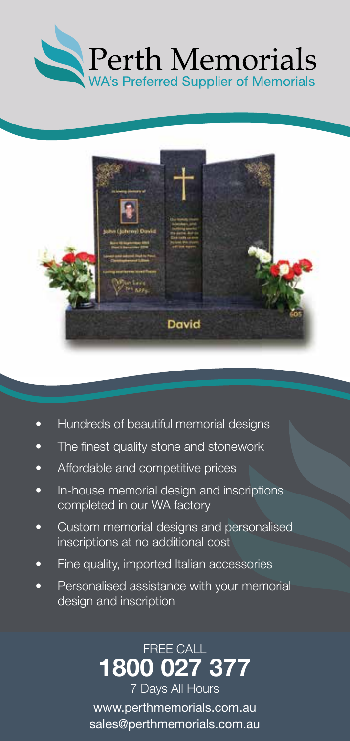



- Hundreds of beautiful memorial designs
- The finest quality stone and stonework
- Affordable and competitive prices
- In-house memorial design and inscriptions completed in our WA factory
- Custom memorial designs and personalised inscriptions at no additional cost
- Fine quality, imported Italian accessories
- Personalised assistance with your memorial design and inscription

FREE CALL 1800 027 377 7 Days All Hours www.perthmemorials.com.au sales@perthmemorials.com.au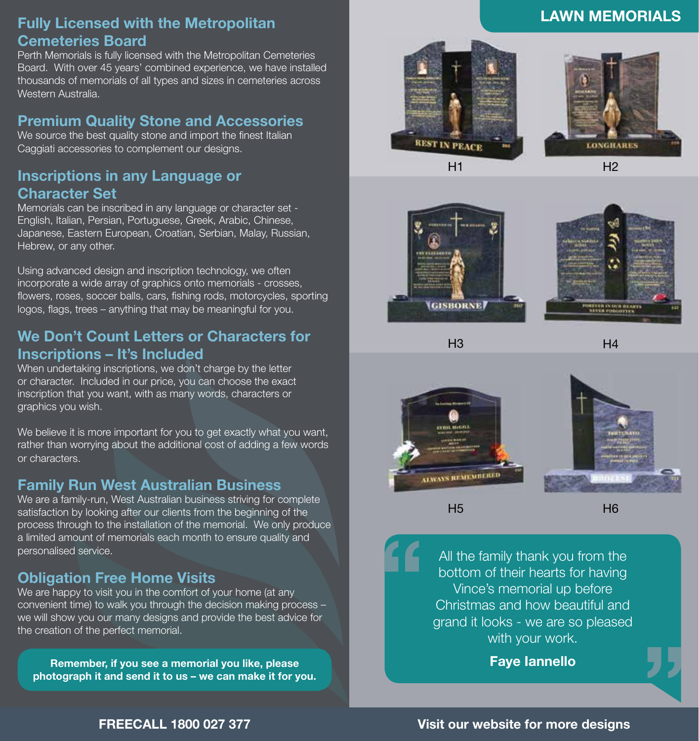## Fully Licensed with the Metropolitan Cemeteries Board

Perth Memorials is fully licensed with the Metropolitan Cemeteries Board. With over 45 years' combined experience, we have installed thousands of memorials of all types and sizes in cemeteries across Western Australia.

#### Premium Quality Stone and Accessories

We source the best quality stone and import the finest Italian Caggiati accessories to complement our designs.

# Inscriptions in any Language or Character Set

Memorials can be inscribed in any language or character set - English, Italian, Persian, Portuguese, Greek, Arabic, Chinese, Japanese, Eastern European, Croatian, Serbian, Malay, Russian, Hebrew, or any other.

Using advanced design and inscription technology, we often incorporate a wide array of graphics onto memorials - crosses, flowers, roses, soccer balls, cars, fishing rods, motorcycles, sporting logos, flags, trees – anything that may be meaningful for you.

## We Don't Count Letters or Characters for Inscriptions – It's Included

When undertaking inscriptions, we don't charge by the letter or character. Included in our price, you can choose the exact inscription that you want, with as many words, characters or graphics you wish.

We believe it is more important for you to get exactly what you want, rather than worrying about the additional cost of adding a few words or characters.

## Family Run West Australian Business

We are a family-run, West Australian business striving for complete satisfaction by looking after our clients from the beginning of the process through to the installation of the memorial. We only produce a limited amount of memorials each month to ensure quality and personalised service.

# Obligation Free Home Visits

We are happy to visit you in the comfort of your home (at any convenient time) to walk you through the decision making process – we will show you our many designs and provide the best advice for the creation of the perfect memorial.

Remember, if you see a memorial you like, please photograph it and send it to us – we can make it for you.





LAWN MEMORIALS







 $H<sub>3</sub>$ 

 $HA$ 



H5

H6

All the family thank you from the bottom of their hearts for having Vince's memorial up before Christmas and how beautiful and grand it looks - we are so pleased with your work.

Faye Iannello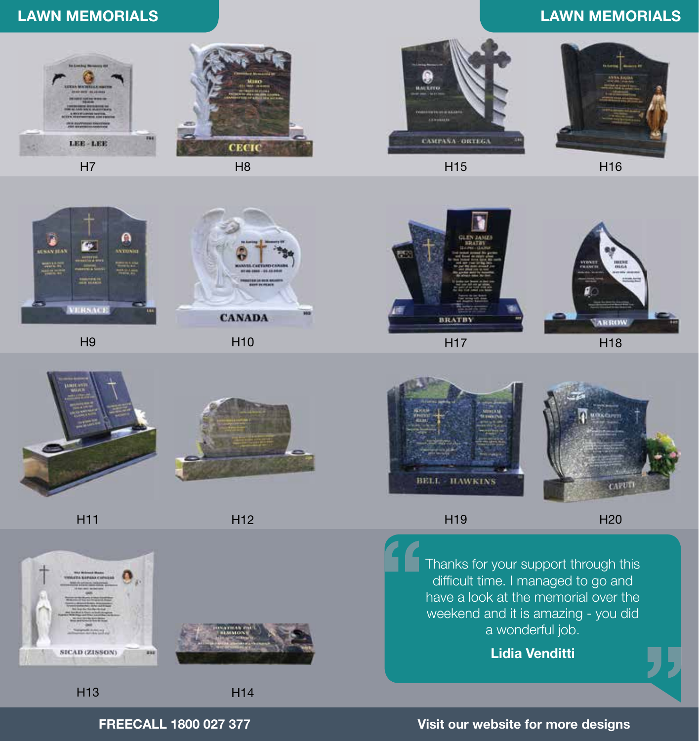# LAWN MEMORIALS LAWN MEMORIALS







H15



H16



H<sub>9</sub>



H10



H17



H18



H11



H12





H14





H19

H20

Thanks for your support through this difficult time. I managed to go and have a look at the memorial over the weekend and it is amazing - you did a wonderful job.

Lidia Venditti

H13

FREECALL 1800 027 377 Visit our website for more designs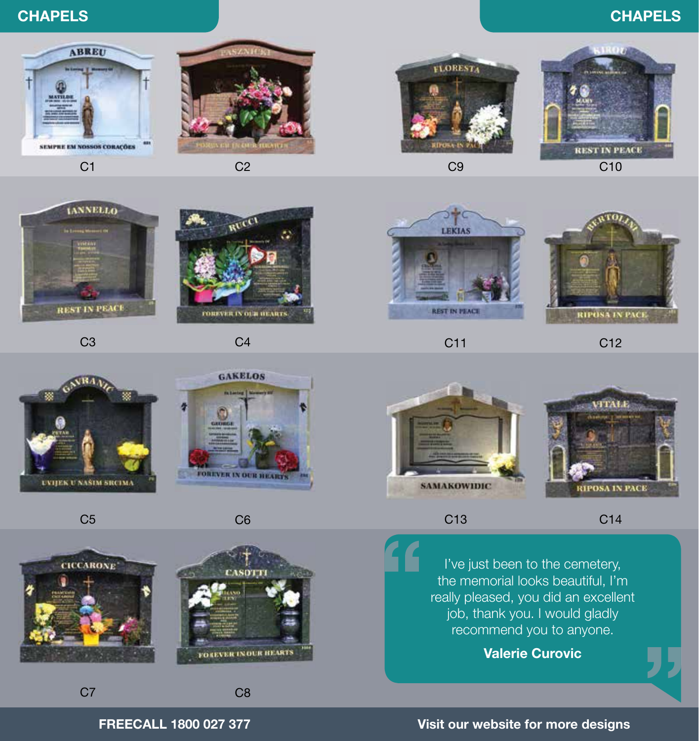# CHAPELS CHAPELS



 $C<sub>1</sub>$ 



 $C<sub>2</sub>$ 



 $C<sub>9</sub>$ 







C3

**NBA** 



 $C<sub>4</sub>$ 



C11



C<sub>12</sub>



C13

C14

I've just been to the cemetery, the memorial looks beautiful, I'm really pleased, you did an excellent job, thank you. I would gladly recommend you to anyone.

Valerie Curovic



FREECALL 1800 027 377 Visit our website for more designs



C5

**UVIJEK U NAŠIM SRCIMA** 



C<sub>7</sub>



C8

C6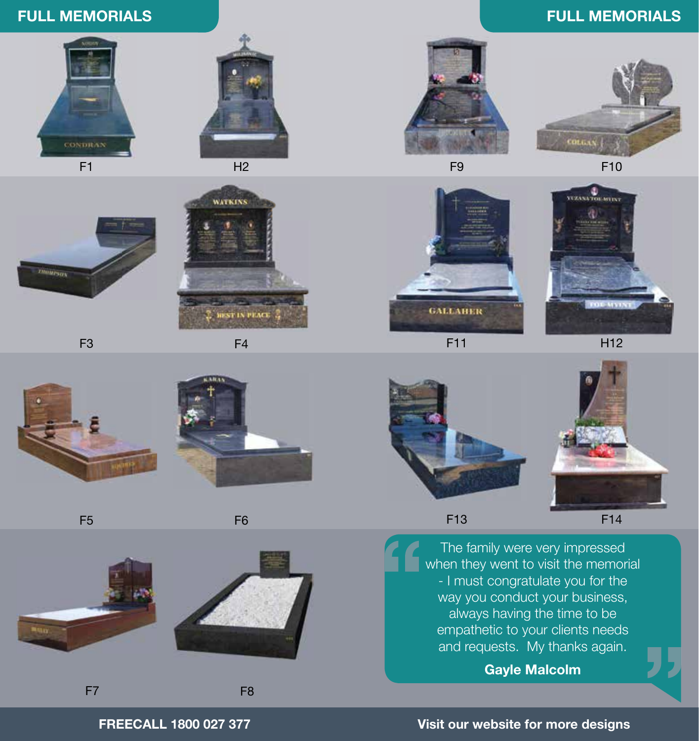# FULL MEMORIALS

# F1



 $H<sub>2</sub>$ 

WATKINS



F9

# FULL MEMORIALS



F10



F11







F13

F14

The family were very impressed when they went to visit the memorial - I must congratulate you for the way you conduct your business, always having the time to be empathetic to your clients needs and requests. My thanks again.

Gayle Malcolm

#### FREECALL 1800 027 377

Visit our website for more designs



**REST IN PEACE** 



F7

F5



F8

F6





F3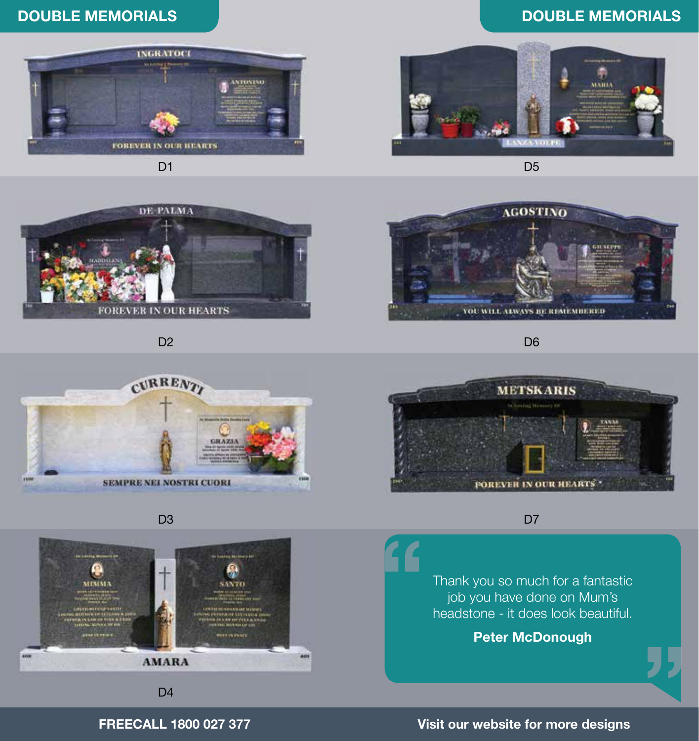# DOUBLE MEMORIALS

#### DOUBLE MEMORIALS



D<sub>1</sub>



D<sub>5</sub>



D<sub>2</sub>



D6





D<sub>3</sub>



D<sub>4</sub>

#### D<sub>7</sub>

Thank you so much for a fantastic job you have done on Mum's headstone - it does look beautiful.

Peter McDonough

#### FREECALL 1800 027 377

#### Visit our website for more designs